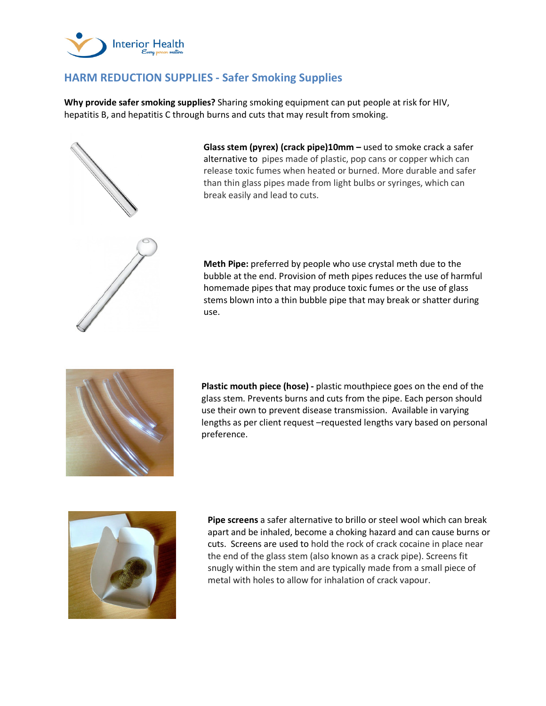

## **HARM REDUCTION SUPPLIES - Safer Smoking Supplies**

**Why provide safer smoking supplies?** Sharing smoking equipment can put people at risk for HIV, hepatitis B, and hepatitis C through burns and cuts that may result from smoking.



**Glass stem (pyrex) (crack pipe)10mm –** used to smoke crack a safer alternative to pipes made of plastic, pop cans or copper which can release toxic fumes when heated or burned. More durable and safer than thin glass pipes made from light bulbs or syringes, which can break easily and lead to cuts.

**Meth Pipe:** preferred by people who use crystal meth due to the bubble at the end. Provision of meth pipes reduces the use of harmful homemade pipes that may produce toxic fumes or the use of glass stems blown into a thin bubble pipe that may break or shatter during use.



**Plastic mouth piece (hose) -** plastic mouthpiece goes on the end of the glass stem. Prevents burns and cuts from the pipe. Each person should use their own to prevent disease transmission. Available in varying lengths as per client request –requested lengths vary based on personal preference.



**Pipe screens** a safer alternative to brillo or steel wool which can break apart and be inhaled, become a choking hazard and can cause burns or cuts.Screens are used to hold the rock of crack cocaine in place near the end of the glass stem (also known as a crack pipe). Screens fit snugly within the stem and are typically made from a small piece of metal with holes to allow for inhalation of crack vapour.